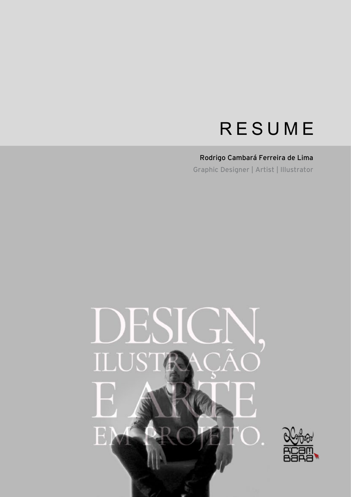# RESUME

# Rodrigo Cambará Ferreira de Lima

Graphic Designer | Artist | Illustrator



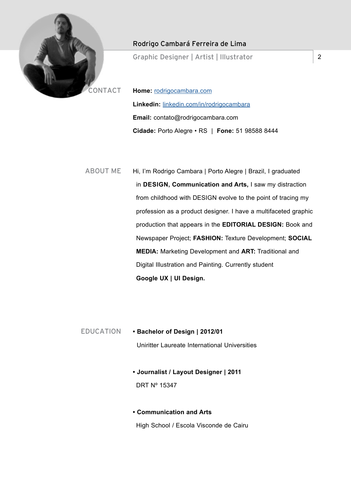

### Rodrigo Cambará Ferreira de Lima

Graphic Designer | Artist | Illustrator

**Home:** rodrigocambara.com **Linkedin:** linkedin.com/in/rodrigocambara **Email:** contato@rodrigocambara.com **Cidade:** Porto Alegre • RS | **Fone:** 51 98588 8444

ABOUT ME Hi, I'm Rodrigo Cambara | Porto Alegre | Brazil, I graduated in **DESIGN, Communication and Arts,** I saw my distraction from childhood with DESIGN evolve to the point of tracing my profession as a product designer. I have a multifaceted graphic production that appears in the **EDITORIAL DESIGN:** Book and Newspaper Project; **FASHION:** Texture Development; **SOCIAL MEDIA:** Marketing Development and **ART:** Traditional and Digital Illustration and Painting. Currently student **Google UX | UI Design.**

EDUCATION **• Bachelor of Design | 2012/01**

Uniritter Laureate International Universities

- **Journalist / Layout Designer | 2011** DRT Nº 15347
- **Communication and Arts**

High School / Escola Visconde de Cairu

2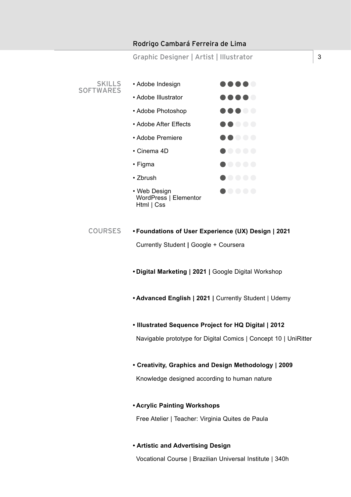

- COURSES **• Foundations of User Experience (UX) Design | 2021**  Currently Student **|** Google + Coursera
	- **• Digital Marketing | 2021 |** Google Digital Workshop
	- **• Advanced English | 2021 |** Currently Student | Udemy
	- **Illustrated Sequence Project for HQ Digital | 2012**

Navigable prototype for Digital Comics | Concept 10 | UniRitter

**• Creativity, Graphics and Design Methodology | 2009**

Knowledge designed according to human nature

**• Acrylic Painting Workshops**

Free Atelier | Teacher: Virginia Quites de Paula

**• Artistic and Advertising Design**

Vocational Course | Brazilian Universal Institute | 340h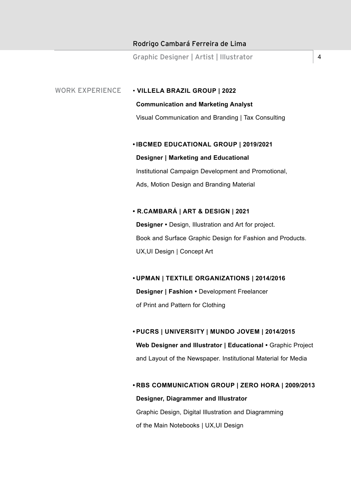#### Rodrigo Cambará Ferreira de Lima

Graphic Designer | Artist | Illustrator 4

#### WORK EXPERIENCE • **VILLELA BRAZIL GROUP | 2022**

#### **Communication and Marketing Analyst**

Visual Communication and Branding | Tax Consulting

#### **• IBCMED EDUCATIONAL GROUP | 2019/2021**

### **Designer | Marketing and Educational**

Institutional Campaign Development and Promotional, Ads, Motion Design and Branding Material

#### **• R.CAMBARÁ | ART & DESIGN | 2021**

**Designer •** Design, Illustration and Art for project. Book and Surface Graphic Design for Fashion and Products. UX,UI Design | Concept Art

**• UPMAN | TEXTILE ORGANIZATIONS | 2014/2016 Designer | Fashion •** Development Freelancer of Print and Pattern for Clothing

**• PUCRS | UNIVERSITY | MUNDO JOVEM | 2014/2015 Web Designer and Illustrator | Educational •** Graphic Project and Layout of the Newspaper. Institutional Material for Media

**• RBS COMMUNICATION GROUP | ZERO HORA | 2009/2013 Designer, Diagrammer and Illustrator**  Graphic Design, Digital Illustration and Diagramming of the Main Notebooks | UX,UI Design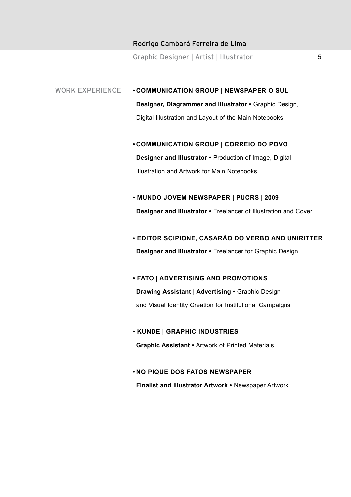#### Rodrigo Cambará Ferreira de Lima

Graphic Designer | Artist | Illustrator | 5

## WORK EXPERIENCE **• COMMUNICATION GROUP | NEWSPAPER O SUL**

**Designer, Diagrammer and Illustrator •** Graphic Design, Digital Illustration and Layout of the Main Notebooks

**• COMMUNICATION GROUP | CORREIO DO POVO Designer and Illustrator •** Production of Image, Digital Illustration and Artwork for Main Notebooks

# **• MUNDO JOVEM NEWSPAPER | PUCRS | 2009 Designer and Illustrator •** Freelancer of Illustration and Cover

• **EDITOR SCIPIONE, CASARÃO DO VERBO AND UNIRITTER Designer and Illustrator •** Freelancer for Graphic Design

# **• FATO | ADVERTISING AND PROMOTIONS Drawing Assistant | Advertising •** Graphic Design and Visual Identity Creation for Institutional Campaigns

# **• KUNDE | GRAPHIC INDUSTRIES**

**Graphic Assistant •** Artwork of Printed Materials

#### • **NO PIQUE DOS FATOS NEWSPAPER**

**Finalist and Illustrator Artwork •** Newspaper Artwork